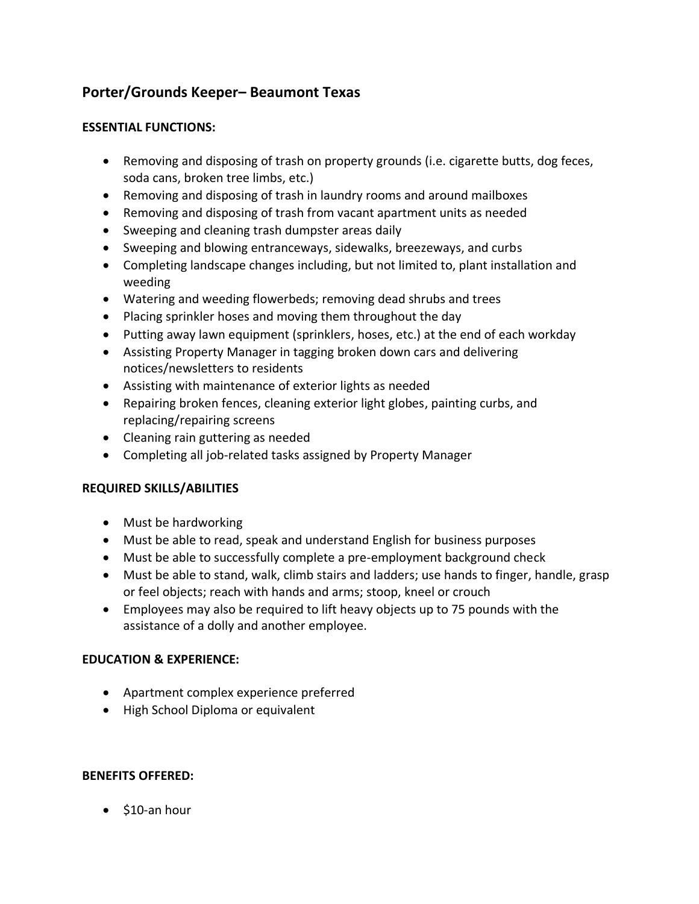# **Porter/Grounds Keeper– Beaumont Texas**

#### **ESSENTIAL FUNCTIONS:**

- Removing and disposing of trash on property grounds (i.e. cigarette butts, dog feces, soda cans, broken tree limbs, etc.)
- Removing and disposing of trash in laundry rooms and around mailboxes
- Removing and disposing of trash from vacant apartment units as needed
- Sweeping and cleaning trash dumpster areas daily
- Sweeping and blowing entranceways, sidewalks, breezeways, and curbs
- Completing landscape changes including, but not limited to, plant installation and weeding
- Watering and weeding flowerbeds; removing dead shrubs and trees
- Placing sprinkler hoses and moving them throughout the day
- Putting away lawn equipment (sprinklers, hoses, etc.) at the end of each workday
- Assisting Property Manager in tagging broken down cars and delivering notices/newsletters to residents
- Assisting with maintenance of exterior lights as needed
- Repairing broken fences, cleaning exterior light globes, painting curbs, and replacing/repairing screens
- Cleaning rain guttering as needed
- Completing all job-related tasks assigned by Property Manager

## **REQUIRED SKILLS/ABILITIES**

- Must be hardworking
- Must be able to read, speak and understand English for business purposes
- Must be able to successfully complete a pre-employment background check
- Must be able to stand, walk, climb stairs and ladders; use hands to finger, handle, grasp or feel objects; reach with hands and arms; stoop, kneel or crouch
- Employees may also be required to lift heavy objects up to 75 pounds with the assistance of a dolly and another employee.

## **EDUCATION & EXPERIENCE:**

- Apartment complex experience preferred
- High School Diploma or equivalent

## **BENEFITS OFFERED:**

• \$10-an hour